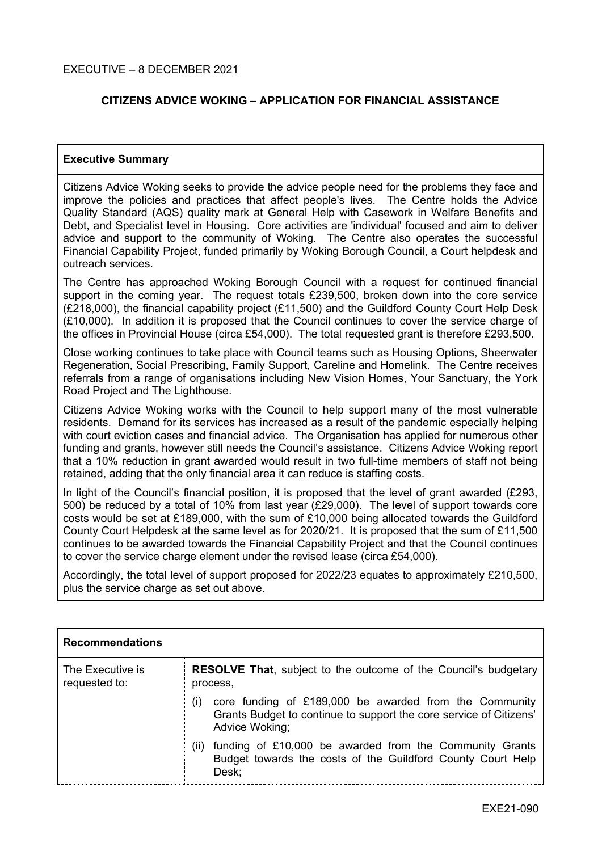## **CITIZENS ADVICE WOKING – APPLICATION FOR FINANCIAL ASSISTANCE**

#### **Executive Summary**

Citizens Advice Woking seeks to provide the advice people need for the problems they face and improve the policies and practices that affect people's lives. The Centre holds the Advice Quality Standard (AQS) quality mark at General Help with Casework in Welfare Benefits and Debt, and Specialist level in Housing. Core activities are 'individual' focused and aim to deliver advice and support to the community of Woking. The Centre also operates the successful Financial Capability Project, funded primarily by Woking Borough Council, a Court helpdesk and outreach services.

The Centre has approached Woking Borough Council with a request for continued financial support in the coming year. The request totals £239,500, broken down into the core service (£218,000), the financial capability project (£11,500) and the Guildford County Court Help Desk (£10,000). In addition it is proposed that the Council continues to cover the service charge of the offices in Provincial House (circa £54,000). The total requested grant is therefore £293,500.

Close working continues to take place with Council teams such as Housing Options, Sheerwater Regeneration, Social Prescribing, Family Support, Careline and Homelink. The Centre receives referrals from a range of organisations including New Vision Homes, Your Sanctuary, the York Road Project and The Lighthouse.

Citizens Advice Woking works with the Council to help support many of the most vulnerable residents. Demand for its services has increased as a result of the pandemic especially helping with court eviction cases and financial advice. The Organisation has applied for numerous other funding and grants, however still needs the Council's assistance. Citizens Advice Woking report that a 10% reduction in grant awarded would result in two full-time members of staff not being retained, adding that the only financial area it can reduce is staffing costs.

In light of the Council's financial position, it is proposed that the level of grant awarded (£293, 500) be reduced by a total of 10% from last year (£29,000). The level of support towards core costs would be set at £189,000, with the sum of £10,000 being allocated towards the Guildford County Court Helpdesk at the same level as for 2020/21. It is proposed that the sum of £11,500 continues to be awarded towards the Financial Capability Project and that the Council continues to cover the service charge element under the revised lease (circa £54,000).

Accordingly, the total level of support proposed for 2022/23 equates to approximately £210,500, plus the service charge as set out above.

| <b>Recommendations</b>            |                                                                                                                                                                                   |  |
|-----------------------------------|-----------------------------------------------------------------------------------------------------------------------------------------------------------------------------------|--|
| The Executive is<br>requested to: | <b>RESOLVE That, subject to the outcome of the Council's budgetary</b><br>process,                                                                                                |  |
|                                   | core funding of £189,000 be awarded from the Community<br>$\left( \left  \right  \right)$<br>Grants Budget to continue to support the core service of Citizens'<br>Advice Woking; |  |
|                                   | funding of £10,000 be awarded from the Community Grants<br>(ii)<br>Budget towards the costs of the Guildford County Court Help<br>Desk;                                           |  |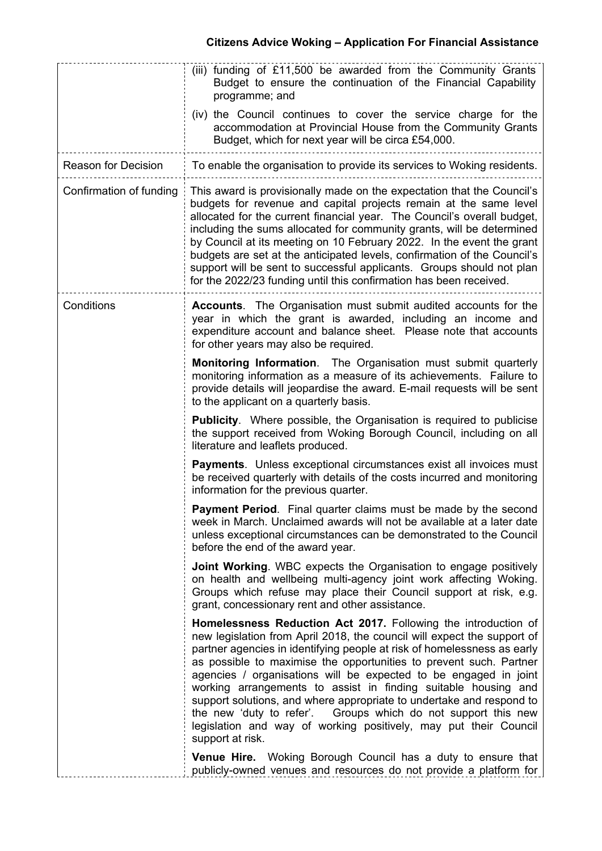|                            | (iii) funding of £11,500 be awarded from the Community Grants<br>Budget to ensure the continuation of the Financial Capability<br>programme; and                                                                                                                                                                                                                                                                                                                                                                                                                                                                                                                  |  |  |
|----------------------------|-------------------------------------------------------------------------------------------------------------------------------------------------------------------------------------------------------------------------------------------------------------------------------------------------------------------------------------------------------------------------------------------------------------------------------------------------------------------------------------------------------------------------------------------------------------------------------------------------------------------------------------------------------------------|--|--|
|                            | (iv) the Council continues to cover the service charge for the<br>accommodation at Provincial House from the Community Grants<br>Budget, which for next year will be circa £54,000.                                                                                                                                                                                                                                                                                                                                                                                                                                                                               |  |  |
| <b>Reason for Decision</b> | To enable the organisation to provide its services to Woking residents.                                                                                                                                                                                                                                                                                                                                                                                                                                                                                                                                                                                           |  |  |
| Confirmation of funding    | This award is provisionally made on the expectation that the Council's<br>budgets for revenue and capital projects remain at the same level<br>allocated for the current financial year. The Council's overall budget,<br>including the sums allocated for community grants, will be determined<br>by Council at its meeting on 10 February 2022. In the event the grant<br>budgets are set at the anticipated levels, confirmation of the Council's<br>support will be sent to successful applicants. Groups should not plan<br>for the 2022/23 funding until this confirmation has been received.                                                               |  |  |
| Conditions                 | <b>Accounts.</b> The Organisation must submit audited accounts for the<br>year in which the grant is awarded, including an income and<br>expenditure account and balance sheet. Please note that accounts<br>for other years may also be required.                                                                                                                                                                                                                                                                                                                                                                                                                |  |  |
|                            | <b>Monitoring Information.</b> The Organisation must submit quarterly<br>monitoring information as a measure of its achievements. Failure to<br>provide details will jeopardise the award. E-mail requests will be sent<br>to the applicant on a quarterly basis.                                                                                                                                                                                                                                                                                                                                                                                                 |  |  |
|                            | <b>Publicity.</b> Where possible, the Organisation is required to publicise<br>the support received from Woking Borough Council, including on all<br>literature and leaflets produced.                                                                                                                                                                                                                                                                                                                                                                                                                                                                            |  |  |
|                            | <b>Payments.</b> Unless exceptional circumstances exist all invoices must<br>be received quarterly with details of the costs incurred and monitoring<br>information for the previous quarter.                                                                                                                                                                                                                                                                                                                                                                                                                                                                     |  |  |
|                            | <b>Payment Period.</b> Final quarter claims must be made by the second<br>week in March. Unclaimed awards will not be available at a later date<br>unless exceptional circumstances can be demonstrated to the Council<br>before the end of the award year.                                                                                                                                                                                                                                                                                                                                                                                                       |  |  |
|                            | <b>Joint Working.</b> WBC expects the Organisation to engage positively<br>on health and wellbeing multi-agency joint work affecting Woking.<br>Groups which refuse may place their Council support at risk, e.g.<br>grant, concessionary rent and other assistance.                                                                                                                                                                                                                                                                                                                                                                                              |  |  |
|                            | Homelessness Reduction Act 2017. Following the introduction of<br>new legislation from April 2018, the council will expect the support of<br>partner agencies in identifying people at risk of homelessness as early<br>as possible to maximise the opportunities to prevent such. Partner<br>agencies / organisations will be expected to be engaged in joint<br>working arrangements to assist in finding suitable housing and<br>support solutions, and where appropriate to undertake and respond to<br>the new 'duty to refer'. Groups which do not support this new<br>legislation and way of working positively, may put their Council<br>support at risk. |  |  |
|                            | <b>Venue Hire.</b> Woking Borough Council has a duty to ensure that<br>publicly-owned venues and resources do not provide a platform for                                                                                                                                                                                                                                                                                                                                                                                                                                                                                                                          |  |  |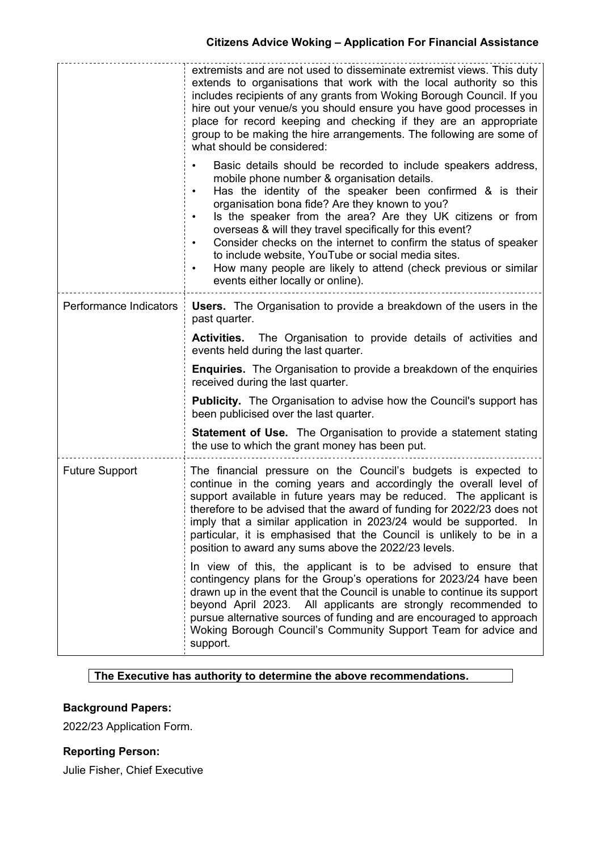|                        | extremists and are not used to disseminate extremist views. This duty<br>extends to organisations that work with the local authority so this<br>includes recipients of any grants from Woking Borough Council. If you<br>hire out your venue/s you should ensure you have good processes in<br>place for record keeping and checking if they are an appropriate<br>group to be making the hire arrangements. The following are some of<br>what should be considered:<br>Basic details should be recorded to include speakers address,<br>mobile phone number & organisation details.<br>Has the identity of the speaker been confirmed & is their<br>organisation bona fide? Are they known to you?<br>Is the speaker from the area? Are they UK citizens or from<br>overseas & will they travel specifically for this event?<br>Consider checks on the internet to confirm the status of speaker<br>to include website, YouTube or social media sites.<br>How many people are likely to attend (check previous or similar<br>events either locally or online). |
|------------------------|-----------------------------------------------------------------------------------------------------------------------------------------------------------------------------------------------------------------------------------------------------------------------------------------------------------------------------------------------------------------------------------------------------------------------------------------------------------------------------------------------------------------------------------------------------------------------------------------------------------------------------------------------------------------------------------------------------------------------------------------------------------------------------------------------------------------------------------------------------------------------------------------------------------------------------------------------------------------------------------------------------------------------------------------------------------------|
| Performance Indicators | <b>Users.</b> The Organisation to provide a breakdown of the users in the<br>past quarter.                                                                                                                                                                                                                                                                                                                                                                                                                                                                                                                                                                                                                                                                                                                                                                                                                                                                                                                                                                      |
|                        | Activities. The Organisation to provide details of activities and<br>events held during the last quarter.                                                                                                                                                                                                                                                                                                                                                                                                                                                                                                                                                                                                                                                                                                                                                                                                                                                                                                                                                       |
|                        | <b>Enquiries.</b> The Organisation to provide a breakdown of the enquiries<br>received during the last quarter.                                                                                                                                                                                                                                                                                                                                                                                                                                                                                                                                                                                                                                                                                                                                                                                                                                                                                                                                                 |
|                        | <b>Publicity.</b> The Organisation to advise how the Council's support has<br>been publicised over the last quarter.                                                                                                                                                                                                                                                                                                                                                                                                                                                                                                                                                                                                                                                                                                                                                                                                                                                                                                                                            |
|                        | <b>Statement of Use.</b> The Organisation to provide a statement stating<br>the use to which the grant money has been put.                                                                                                                                                                                                                                                                                                                                                                                                                                                                                                                                                                                                                                                                                                                                                                                                                                                                                                                                      |
| <b>Future Support</b>  | The financial pressure on the Council's budgets is expected to<br>continue in the coming years and accordingly the overall level of<br>support available in future years may be reduced. The applicant is<br>therefore to be advised that the award of funding for 2022/23 does not<br>imply that a similar application in 2023/24 would be supported. In<br>particular, it is emphasised that the Council is unlikely to be in a<br>position to award any sums above the 2022/23 levels.                                                                                                                                                                                                                                                                                                                                                                                                                                                                                                                                                                       |
|                        | In view of this, the applicant is to be advised to ensure that<br>contingency plans for the Group's operations for 2023/24 have been<br>drawn up in the event that the Council is unable to continue its support<br>beyond April 2023. All applicants are strongly recommended to<br>pursue alternative sources of funding and are encouraged to approach<br>Woking Borough Council's Community Support Team for advice and<br>support.                                                                                                                                                                                                                                                                                                                                                                                                                                                                                                                                                                                                                         |

## **The Executive has authority to determine the above recommendations.**

## **Background Papers:**

2022/23 Application Form.

# **Reporting Person:**

Julie Fisher, Chief Executive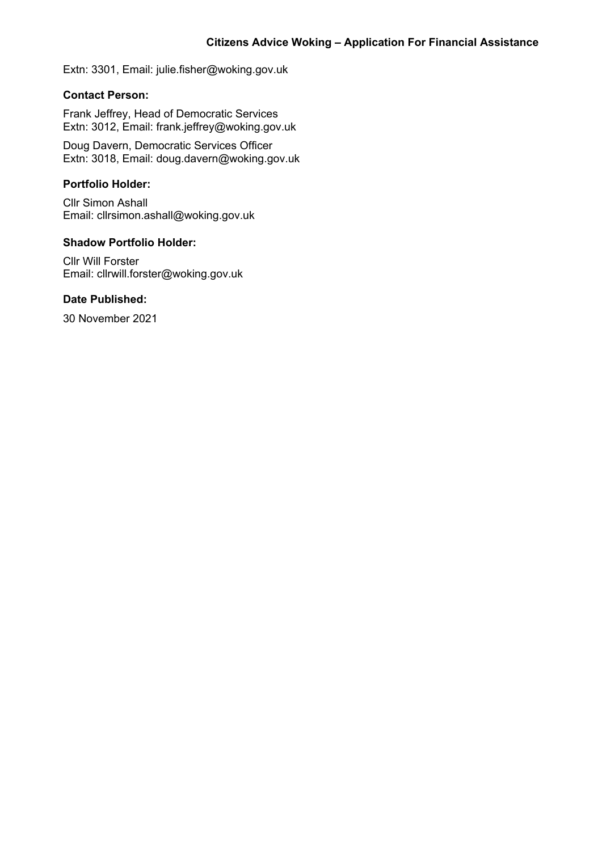Extn: 3301, Email: julie.fisher@woking.gov.uk

#### **Contact Person:**

Frank Jeffrey, Head of Democratic Services Extn: 3012, Email: frank.jeffrey@woking.gov.uk

Doug Davern, Democratic Services Officer Extn: 3018, Email: doug.davern@woking.gov.uk

## **Portfolio Holder:**

Cllr Simon Ashall Email: cllrsimon.ashall@woking.gov.uk

## **Shadow Portfolio Holder:**

Cllr Will Forster Email: cllrwill.forster@woking.gov.uk

## **Date Published:**

30 November 2021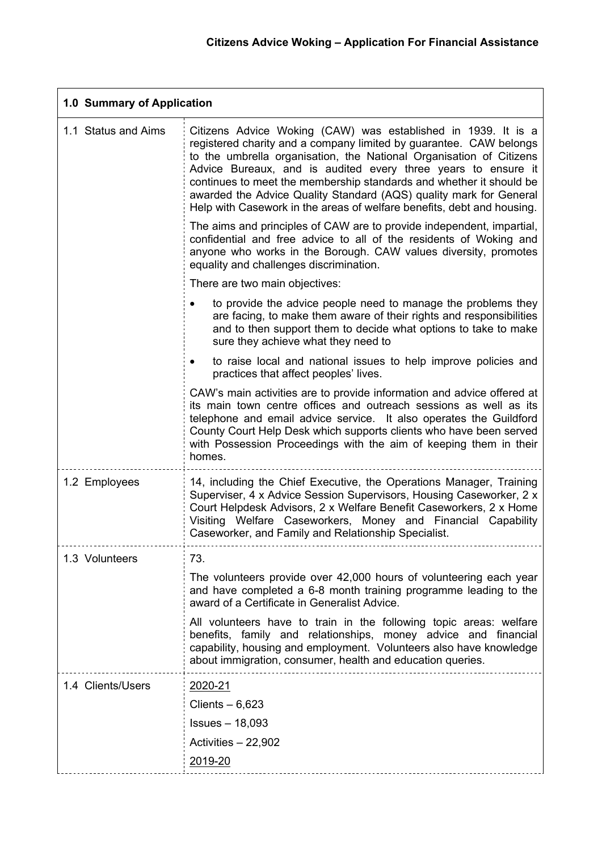| 1.0 Summary of Application |                                                                                                                                                                                                                                                                                                                                                                                                                                                                                                    |  |  |
|----------------------------|----------------------------------------------------------------------------------------------------------------------------------------------------------------------------------------------------------------------------------------------------------------------------------------------------------------------------------------------------------------------------------------------------------------------------------------------------------------------------------------------------|--|--|
| 1.1 Status and Aims        | Citizens Advice Woking (CAW) was established in 1939. It is a<br>registered charity and a company limited by guarantee. CAW belongs<br>to the umbrella organisation, the National Organisation of Citizens<br>Advice Bureaux, and is audited every three years to ensure it<br>continues to meet the membership standards and whether it should be<br>awarded the Advice Quality Standard (AQS) quality mark for General<br>Help with Casework in the areas of welfare benefits, debt and housing. |  |  |
|                            | The aims and principles of CAW are to provide independent, impartial,<br>confidential and free advice to all of the residents of Woking and<br>anyone who works in the Borough. CAW values diversity, promotes<br>equality and challenges discrimination.                                                                                                                                                                                                                                          |  |  |
|                            | There are two main objectives:                                                                                                                                                                                                                                                                                                                                                                                                                                                                     |  |  |
|                            | to provide the advice people need to manage the problems they<br>are facing, to make them aware of their rights and responsibilities<br>and to then support them to decide what options to take to make<br>sure they achieve what they need to                                                                                                                                                                                                                                                     |  |  |
|                            | to raise local and national issues to help improve policies and<br>٠<br>practices that affect peoples' lives.                                                                                                                                                                                                                                                                                                                                                                                      |  |  |
|                            | CAW's main activities are to provide information and advice offered at<br>its main town centre offices and outreach sessions as well as its<br>telephone and email advice service. It also operates the Guildford<br>County Court Help Desk which supports clients who have been served<br>with Possession Proceedings with the aim of keeping them in their<br>homes.                                                                                                                             |  |  |
| 1.2 Employees              | 14, including the Chief Executive, the Operations Manager, Training<br>Superviser, 4 x Advice Session Supervisors, Housing Caseworker, 2 x<br>Court Helpdesk Advisors, 2 x Welfare Benefit Caseworkers, 2 x Home<br>Visiting Welfare Caseworkers, Money and Financial Capability<br>Caseworker, and Family and Relationship Specialist.                                                                                                                                                            |  |  |
| 1.3 Volunteers             | 73.                                                                                                                                                                                                                                                                                                                                                                                                                                                                                                |  |  |
|                            | The volunteers provide over 42,000 hours of volunteering each year<br>and have completed a 6-8 month training programme leading to the<br>award of a Certificate in Generalist Advice.                                                                                                                                                                                                                                                                                                             |  |  |
|                            | All volunteers have to train in the following topic areas: welfare<br>benefits, family and relationships, money advice and financial<br>capability, housing and employment. Volunteers also have knowledge<br>about immigration, consumer, health and education queries.                                                                                                                                                                                                                           |  |  |
| 1.4 Clients/Users          | 2020-21                                                                                                                                                                                                                                                                                                                                                                                                                                                                                            |  |  |
|                            | Clients $-6,623$                                                                                                                                                                                                                                                                                                                                                                                                                                                                                   |  |  |
|                            | $Issues - 18,093$                                                                                                                                                                                                                                                                                                                                                                                                                                                                                  |  |  |
|                            | Activities - 22,902                                                                                                                                                                                                                                                                                                                                                                                                                                                                                |  |  |
|                            | 2019-20                                                                                                                                                                                                                                                                                                                                                                                                                                                                                            |  |  |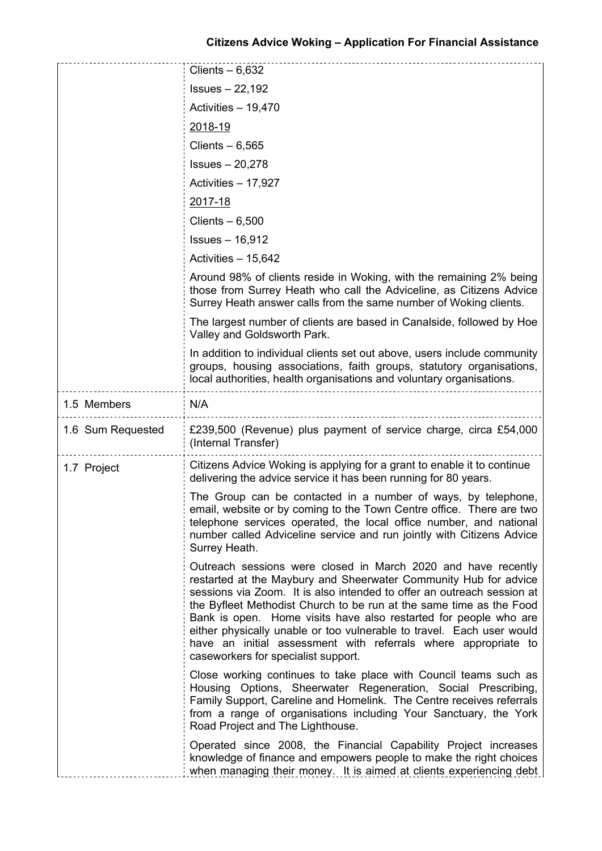|                   | Clients $-6,632$                                                                                                                                                                                                                                                                                                                                                                                                                                                                                                                         |
|-------------------|------------------------------------------------------------------------------------------------------------------------------------------------------------------------------------------------------------------------------------------------------------------------------------------------------------------------------------------------------------------------------------------------------------------------------------------------------------------------------------------------------------------------------------------|
|                   | $Issues - 22,192$                                                                                                                                                                                                                                                                                                                                                                                                                                                                                                                        |
|                   | Activities - 19,470                                                                                                                                                                                                                                                                                                                                                                                                                                                                                                                      |
|                   | 2018-19                                                                                                                                                                                                                                                                                                                                                                                                                                                                                                                                  |
|                   | Clients $-6,565$                                                                                                                                                                                                                                                                                                                                                                                                                                                                                                                         |
|                   | $Issues - 20,278$                                                                                                                                                                                                                                                                                                                                                                                                                                                                                                                        |
|                   | Activities - 17,927                                                                                                                                                                                                                                                                                                                                                                                                                                                                                                                      |
|                   | 2017-18                                                                                                                                                                                                                                                                                                                                                                                                                                                                                                                                  |
|                   | Clients $-6,500$                                                                                                                                                                                                                                                                                                                                                                                                                                                                                                                         |
|                   | $Issues - 16,912$                                                                                                                                                                                                                                                                                                                                                                                                                                                                                                                        |
|                   | Activities - 15,642                                                                                                                                                                                                                                                                                                                                                                                                                                                                                                                      |
|                   | Around 98% of clients reside in Woking, with the remaining 2% being<br>those from Surrey Heath who call the Adviceline, as Citizens Advice<br>Surrey Heath answer calls from the same number of Woking clients.                                                                                                                                                                                                                                                                                                                          |
|                   | The largest number of clients are based in Canalside, followed by Hoe<br>Valley and Goldsworth Park.                                                                                                                                                                                                                                                                                                                                                                                                                                     |
|                   | In addition to individual clients set out above, users include community<br>groups, housing associations, faith groups, statutory organisations,<br>local authorities, health organisations and voluntary organisations.                                                                                                                                                                                                                                                                                                                 |
| 1.5 Members       | N/A                                                                                                                                                                                                                                                                                                                                                                                                                                                                                                                                      |
| 1.6 Sum Requested | £239,500 (Revenue) plus payment of service charge, circa £54,000<br>(Internal Transfer)                                                                                                                                                                                                                                                                                                                                                                                                                                                  |
| 1.7 Project       | Citizens Advice Woking is applying for a grant to enable it to continue<br>delivering the advice service it has been running for 80 years.                                                                                                                                                                                                                                                                                                                                                                                               |
|                   | The Group can be contacted in a number of ways, by telephone,<br>email, website or by coming to the Town Centre office. There are two<br>telephone services operated, the local office number, and national<br>number called Adviceline service and run jointly with Citizens Advice<br>Surrey Heath.                                                                                                                                                                                                                                    |
|                   | Outreach sessions were closed in March 2020 and have recently<br>restarted at the Maybury and Sheerwater Community Hub for advice<br>sessions via Zoom. It is also intended to offer an outreach session at<br>the Byfleet Methodist Church to be run at the same time as the Food<br>Bank is open. Home visits have also restarted for people who are<br>either physically unable or too vulnerable to travel. Each user would<br>have an initial assessment with referrals where appropriate to<br>caseworkers for specialist support. |
|                   | Close working continues to take place with Council teams such as<br>Housing Options, Sheerwater Regeneration, Social Prescribing,<br>Family Support, Careline and Homelink. The Centre receives referrals<br>from a range of organisations including Your Sanctuary, the York<br>Road Project and The Lighthouse.                                                                                                                                                                                                                        |
|                   | Operated since 2008, the Financial Capability Project increases<br>knowledge of finance and empowers people to make the right choices<br>when managing their money. It is aimed at clients experiencing debt                                                                                                                                                                                                                                                                                                                             |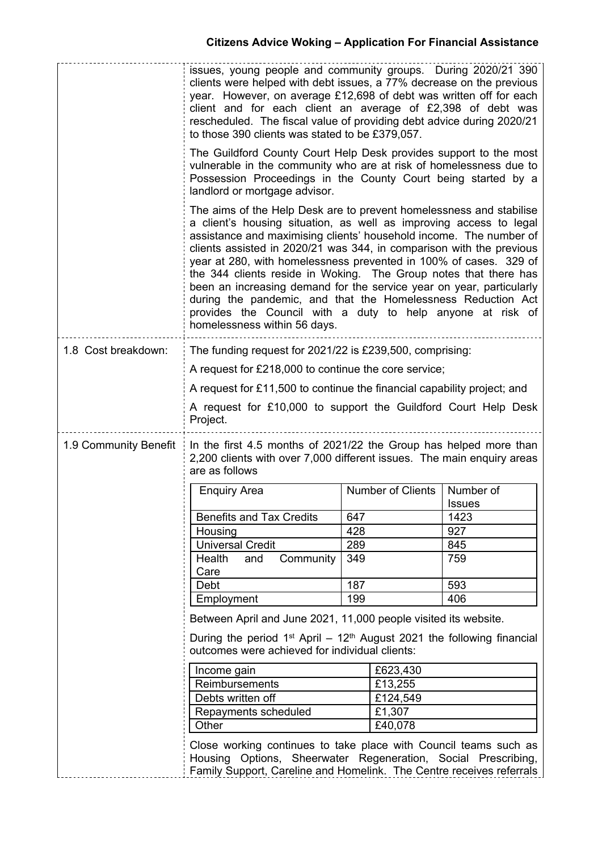|                       | issues, young people and community groups. During 2020/21 390<br>clients were helped with debt issues, a 77% decrease on the previous<br>year. However, on average £12,698 of debt was written off for each<br>client and for each client an average of £2,398 of debt was<br>rescheduled. The fiscal value of providing debt advice during 2020/21<br>to those 390 clients was stated to be £379,057.                                                                                                                                                                                                                                                                 |     |                          |               |
|-----------------------|------------------------------------------------------------------------------------------------------------------------------------------------------------------------------------------------------------------------------------------------------------------------------------------------------------------------------------------------------------------------------------------------------------------------------------------------------------------------------------------------------------------------------------------------------------------------------------------------------------------------------------------------------------------------|-----|--------------------------|---------------|
|                       | The Guildford County Court Help Desk provides support to the most<br>vulnerable in the community who are at risk of homelessness due to<br>Possession Proceedings in the County Court being started by a<br>landlord or mortgage advisor.                                                                                                                                                                                                                                                                                                                                                                                                                              |     |                          |               |
|                       | The aims of the Help Desk are to prevent homelessness and stabilise<br>a client's housing situation, as well as improving access to legal<br>assistance and maximising clients' household income. The number of<br>clients assisted in 2020/21 was 344, in comparison with the previous<br>year at 280, with homelessness prevented in 100% of cases. 329 of<br>the 344 clients reside in Woking. The Group notes that there has<br>been an increasing demand for the service year on year, particularly<br>during the pandemic, and that the Homelessness Reduction Act<br>provides the Council with a duty to help anyone at risk of<br>homelessness within 56 days. |     |                          |               |
| 1.8 Cost breakdown:   | The funding request for 2021/22 is £239,500, comprising:                                                                                                                                                                                                                                                                                                                                                                                                                                                                                                                                                                                                               |     |                          |               |
|                       | A request for £218,000 to continue the core service;                                                                                                                                                                                                                                                                                                                                                                                                                                                                                                                                                                                                                   |     |                          |               |
|                       | A request for £11,500 to continue the financial capability project; and                                                                                                                                                                                                                                                                                                                                                                                                                                                                                                                                                                                                |     |                          |               |
|                       |                                                                                                                                                                                                                                                                                                                                                                                                                                                                                                                                                                                                                                                                        |     |                          |               |
|                       | A request for £10,000 to support the Guildford Court Help Desk<br>Project.                                                                                                                                                                                                                                                                                                                                                                                                                                                                                                                                                                                             |     |                          |               |
| 1.9 Community Benefit | In the first 4.5 months of 2021/22 the Group has helped more than<br>2,200 clients with over 7,000 different issues. The main enquiry areas<br>are as follows                                                                                                                                                                                                                                                                                                                                                                                                                                                                                                          |     |                          |               |
|                       | <b>Enquiry Area</b>                                                                                                                                                                                                                                                                                                                                                                                                                                                                                                                                                                                                                                                    |     | <b>Number of Clients</b> | Number of     |
|                       |                                                                                                                                                                                                                                                                                                                                                                                                                                                                                                                                                                                                                                                                        |     |                          | <b>Issues</b> |
|                       | <b>Benefits and Tax Credits</b>                                                                                                                                                                                                                                                                                                                                                                                                                                                                                                                                                                                                                                        | 647 |                          | 1423          |
|                       | Housing                                                                                                                                                                                                                                                                                                                                                                                                                                                                                                                                                                                                                                                                | 428 |                          | 927           |
|                       | <b>Universal Credit</b>                                                                                                                                                                                                                                                                                                                                                                                                                                                                                                                                                                                                                                                | 289 |                          | 845           |
|                       | Health<br>and<br>Community<br>Care                                                                                                                                                                                                                                                                                                                                                                                                                                                                                                                                                                                                                                     | 349 |                          | 759           |
|                       | Debt                                                                                                                                                                                                                                                                                                                                                                                                                                                                                                                                                                                                                                                                   | 187 |                          | 593           |
|                       | Employment                                                                                                                                                                                                                                                                                                                                                                                                                                                                                                                                                                                                                                                             | 199 |                          | 406           |
|                       | Between April and June 2021, 11,000 people visited its website.                                                                                                                                                                                                                                                                                                                                                                                                                                                                                                                                                                                                        |     |                          |               |
|                       | During the period 1 <sup>st</sup> April – 12 <sup>th</sup> August 2021 the following financial<br>outcomes were achieved for individual clients:                                                                                                                                                                                                                                                                                                                                                                                                                                                                                                                       |     |                          |               |
|                       | Income gain                                                                                                                                                                                                                                                                                                                                                                                                                                                                                                                                                                                                                                                            |     | £623,430                 |               |
|                       | Reimbursements                                                                                                                                                                                                                                                                                                                                                                                                                                                                                                                                                                                                                                                         |     | £13,255                  |               |
|                       | Debts written off                                                                                                                                                                                                                                                                                                                                                                                                                                                                                                                                                                                                                                                      |     | £124,549                 |               |
|                       | Repayments scheduled                                                                                                                                                                                                                                                                                                                                                                                                                                                                                                                                                                                                                                                   |     | £1,307                   |               |
|                       | Other                                                                                                                                                                                                                                                                                                                                                                                                                                                                                                                                                                                                                                                                  |     | £40,078                  |               |
|                       | Close working continues to take place with Council teams such as<br>Housing Options, Sheerwater Regeneration, Social Prescribing,<br>Family Support, Careline and Homelink. The Centre receives referrals                                                                                                                                                                                                                                                                                                                                                                                                                                                              |     |                          |               |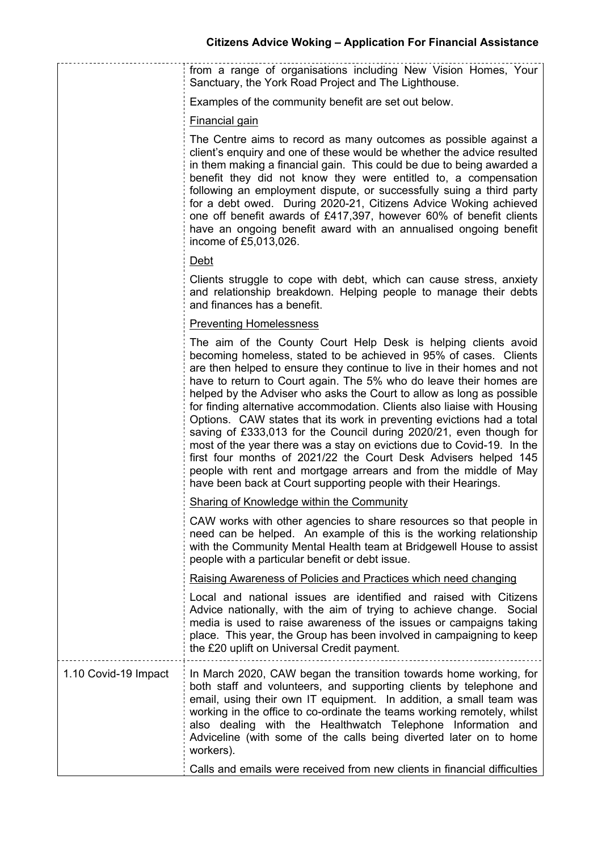from a range of organisations including New Vision Homes, Your Sanctuary, the York Road Project and The Lighthouse.

Examples of the community benefit are set out below.

Financial gain

The Centre aims to record as many outcomes as possible against a client's enquiry and one of these would be whether the advice resulted in them making a financial gain. This could be due to being awarded a benefit they did not know they were entitled to, a compensation following an employment dispute, or successfully suing a third party for a debt owed. During 2020-21, Citizens Advice Woking achieved one off benefit awards of £417,397, however 60% of benefit clients have an ongoing benefit award with an annualised ongoing benefit income of £5,013,026.

Debt

Clients struggle to cope with debt, which can cause stress, anxiety and relationship breakdown. Helping people to manage their debts and finances has a benefit.

## Preventing Homelessness

| The aim of the County Court Help Desk is helping clients avoid<br>becoming homeless, stated to be achieved in 95% of cases. Clients<br>are then helped to ensure they continue to live in their homes and not<br>have to return to Court again. The 5% who do leave their homes are<br>helped by the Adviser who asks the Court to allow as long as possible<br>for finding alternative accommodation. Clients also liaise with Housing<br>Options. CAW states that its work in preventing evictions had a total<br>saving of £333,013 for the Council during 2020/21, even though for<br>most of the year there was a stay on evictions due to Covid-19. In the<br>first four months of 2021/22 the Court Desk Advisers helped 145<br>people with rent and mortgage arrears and from the middle of May<br>have been back at Court supporting people with their Hearings. |
|---------------------------------------------------------------------------------------------------------------------------------------------------------------------------------------------------------------------------------------------------------------------------------------------------------------------------------------------------------------------------------------------------------------------------------------------------------------------------------------------------------------------------------------------------------------------------------------------------------------------------------------------------------------------------------------------------------------------------------------------------------------------------------------------------------------------------------------------------------------------------|
|                                                                                                                                                                                                                                                                                                                                                                                                                                                                                                                                                                                                                                                                                                                                                                                                                                                                           |
| CAW works with other agencies to share resources so that people in<br>need can be helped. An example of this is the working relationship<br>with the Community Mental Health team at Bridgewell House to assist                                                                                                                                                                                                                                                                                                                                                                                                                                                                                                                                                                                                                                                           |
| Raising Awareness of Policies and Practices which need changing                                                                                                                                                                                                                                                                                                                                                                                                                                                                                                                                                                                                                                                                                                                                                                                                           |
| Local and national issues are identified and raised with Citizens<br>Advice nationally, with the aim of trying to achieve change. Social<br>media is used to raise awareness of the issues or campaigns taking<br>place. This year, the Group has been involved in campaigning to keep                                                                                                                                                                                                                                                                                                                                                                                                                                                                                                                                                                                    |
| In March 2020, CAW began the transition towards home working, for<br>both staff and volunteers, and supporting clients by telephone and<br>email, using their own IT equipment. In addition, a small team was<br>working in the office to co-ordinate the teams working remotely, whilst<br>also dealing with the Healthwatch Telephone Information and<br>Adviceline (with some of the calls being diverted later on to home<br>Calls and emails were received from new clients in financial difficulties                                                                                                                                                                                                                                                                                                                                                                |
|                                                                                                                                                                                                                                                                                                                                                                                                                                                                                                                                                                                                                                                                                                                                                                                                                                                                           |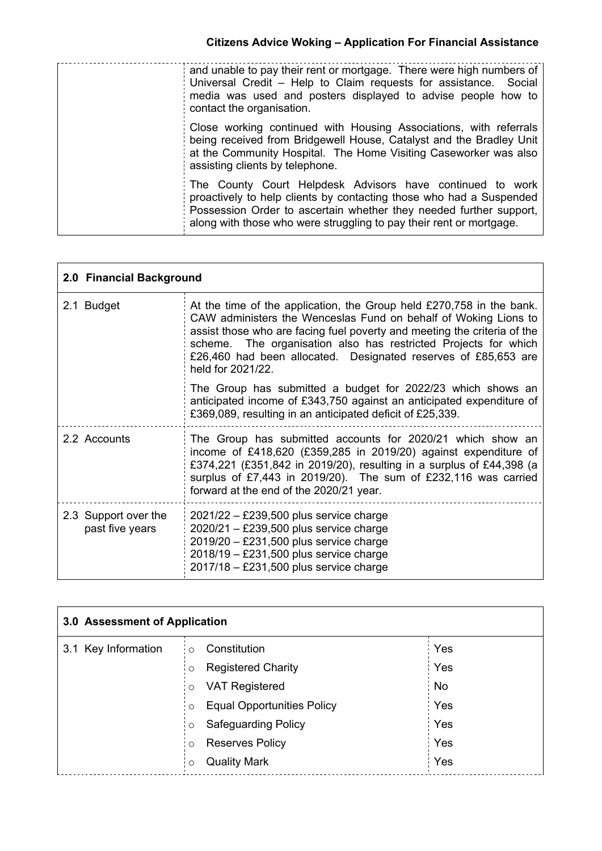| and unable to pay their rent or mortgage. There were high numbers of<br>Universal Credit – Help to Claim requests for assistance. Social<br>media was used and posters displayed to advise people how to<br>contact the organisation.                                         |
|-------------------------------------------------------------------------------------------------------------------------------------------------------------------------------------------------------------------------------------------------------------------------------|
| Close working continued with Housing Associations, with referrals<br>being received from Bridgewell House, Catalyst and the Bradley Unit<br>at the Community Hospital. The Home Visiting Caseworker was also<br>assisting clients by telephone.                               |
| The County Court Helpdesk Advisors have continued to work<br>proactively to help clients by contacting those who had a Suspended<br>Possession Order to ascertain whether they needed further support,<br>along with those who were struggling to pay their rent or mortgage. |

| 2.0 Financial Background                |                                                                                                                                                                                                                                                                                                                                                                               |  |
|-----------------------------------------|-------------------------------------------------------------------------------------------------------------------------------------------------------------------------------------------------------------------------------------------------------------------------------------------------------------------------------------------------------------------------------|--|
| 2.1 Budget                              | At the time of the application, the Group held £270,758 in the bank.<br>CAW administers the Wenceslas Fund on behalf of Woking Lions to<br>assist those who are facing fuel poverty and meeting the criteria of the<br>scheme. The organisation also has restricted Projects for which<br>£26,460 had been allocated. Designated reserves of £85,653 are<br>held for 2021/22. |  |
|                                         | The Group has submitted a budget for 2022/23 which shows an<br>anticipated income of £343,750 against an anticipated expenditure of<br>£369,089, resulting in an anticipated deficit of £25,339.                                                                                                                                                                              |  |
| 2.2 Accounts                            | The Group has submitted accounts for 2020/21 which show an<br>income of £418,620 (£359,285 in 2019/20) against expenditure of<br>£374,221 (£351,842 in 2019/20), resulting in a surplus of £44,398 (a<br>surplus of £7,443 in 2019/20). The sum of £232,116 was carried<br>forward at the end of the 2020/21 year.                                                            |  |
| 2.3 Support over the<br>past five years | $2021/22 - \pounds239,500$ plus service charge<br>$2020/21 - £239,500$ plus service charge<br>$2019/20 - £231,500$ plus service charge<br>$2018/19 - £231,500$ plus service charge<br>$2017/18 - £231,500$ plus service charge                                                                                                                                                |  |

| 3.0 Assessment of Application |                                              |     |
|-------------------------------|----------------------------------------------|-----|
| 3.1 Key Information           | Constitution<br>! O                          | Yes |
|                               | <b>Registered Charity</b><br>$\circ$         | Yes |
|                               | <b>VAT Registered</b><br>$\Omega$            | No  |
|                               | <b>Equal Opportunities Policy</b><br>$\circ$ | Yes |
|                               | <b>Safeguarding Policy</b><br>$\circ$        | Yes |
|                               | <b>Reserves Policy</b><br>. О                | Yes |
|                               | <b>Quality Mark</b><br>$\circ$               | Yes |